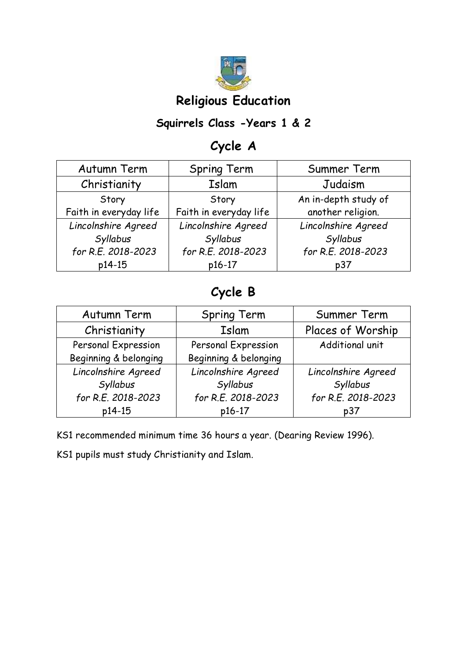

# **Religious Education**

#### **Squirrels Class -Years 1 & 2**

# **Cycle A**

| Autumn Term            | <b>Spring Term</b>     | Summer Term          |
|------------------------|------------------------|----------------------|
| Christianity           | Islam                  | Judaism              |
| Story                  | Story                  | An in-depth study of |
| Faith in everyday life | Faith in everyday life | another religion.    |
| Lincolnshire Agreed    | Lincolnshire Agreed    | Lincolnshire Agreed  |
| Syllabus               | Syllabus               | Syllabus             |
| for R.E. 2018-2023     | for R.E. 2018-2023     | for R.E. 2018-2023   |
| p14-15                 | p16-17                 | p37                  |

## **Cycle B**

| Autumn Term           | Spring Term           | Summer Term         |
|-----------------------|-----------------------|---------------------|
| Christianity          | Islam                 | Places of Worship   |
| Personal Expression   | Personal Expression   | Additional unit     |
| Beginning & belonging | Beginning & belonging |                     |
| Lincolnshire Agreed   | Lincolnshire Agreed   | Lincolnshire Agreed |
| Syllabus              | Syllabus              | Syllabus            |
| for R.E. 2018-2023    | for R.E. 2018-2023    | for R.E. 2018-2023  |
| p14-15                | p16-17                | p37                 |

KS1 recommended minimum time 36 hours a year. (Dearing Review 1996).

KS1 pupils must study Christianity and Islam.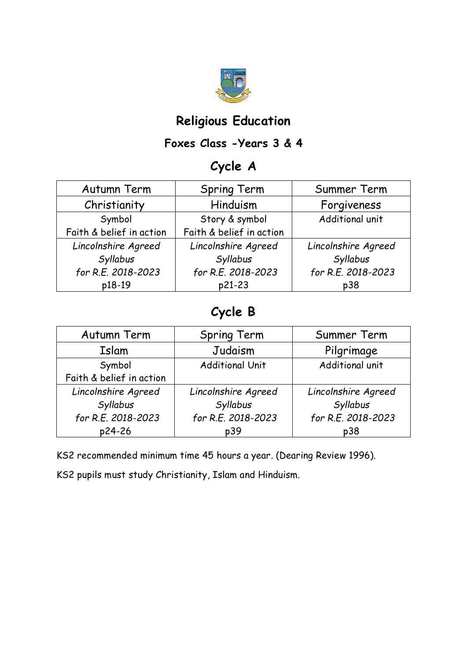

#### **Religious Education**

#### **Foxes Class -Years 3 & 4**

#### **Cycle A**

| Autumn Term              | <b>Spring Term</b>       | Summer Term         |
|--------------------------|--------------------------|---------------------|
| Christianity             | Hinduism                 | Forgiveness         |
| Symbol                   | Story & symbol           | Additional unit     |
| Faith & belief in action | Faith & belief in action |                     |
| Lincolnshire Agreed      | Lincolnshire Agreed      | Lincolnshire Agreed |
| Syllabus                 | Syllabus                 | Syllabus            |
| for R.E. 2018-2023       | for R.E. 2018-2023       | for R.E. 2018-2023  |
| p18-19                   | p21-23                   | p38                 |

## **Cycle B**

| Autumn Term              | <b>Spring Term</b>     | Summer Term         |
|--------------------------|------------------------|---------------------|
| Islam                    | Judaism                | Pilgrimage          |
| Symbol                   | <b>Additional Unit</b> | Additional unit     |
| Faith & belief in action |                        |                     |
| Lincolnshire Agreed      | Lincolnshire Agreed    | Lincolnshire Agreed |
| Syllabus                 | Syllabus               | Syllabus            |
| for R.E. 2018-2023       | for R.E. 2018-2023     | for R.E. 2018-2023  |
| p24-26                   | p39                    | p38                 |

KS2 recommended minimum time 45 hours a year. (Dearing Review 1996).

KS2 pupils must study Christianity, Islam and Hinduism.